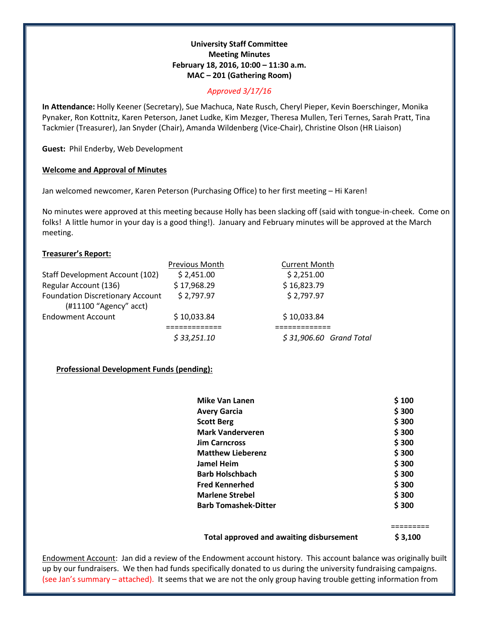## **University Staff Committee Meeting Minutes February 18, 2016, 10:00 – 11:30 a.m. MAC – 201 (Gathering Room)**

## *Approved 3/17/16*

**In Attendance:** Holly Keener (Secretary), Sue Machuca, Nate Rusch, Cheryl Pieper, Kevin Boerschinger, Monika Pynaker, Ron Kottnitz, Karen Peterson, Janet Ludke, Kim Mezger, Theresa Mullen, Teri Ternes, Sarah Pratt, Tina Tackmier (Treasurer), Jan Snyder (Chair), Amanda Wildenberg (Vice-Chair), Christine Olson (HR Liaison)

**Guest:** Phil Enderby, Web Development

## **Welcome and Approval of Minutes**

Jan welcomed newcomer, Karen Peterson (Purchasing Office) to her first meeting – Hi Karen!

No minutes were approved at this meeting because Holly has been slacking off (said with tongue-in-cheek. Come on folks! A little humor in your day is a good thing!). January and February minutes will be approved at the March meeting.

## **Treasurer's Report:**

|                                                                     | Previous Month | <b>Current Month</b>     |
|---------------------------------------------------------------------|----------------|--------------------------|
| Staff Development Account (102)                                     | \$2,451.00     | \$2,251.00               |
| Regular Account (136)                                               | \$17,968.29    | \$16,823.79              |
| <b>Foundation Discretionary Account</b><br>$(H11100$ "Agency" acct) | \$2,797.97     | \$2,797.97               |
| <b>Endowment Account</b>                                            | \$10,033.84    | \$10,033.84              |
|                                                                     |                |                          |
|                                                                     | \$33,251.10    | $$31,906.60$ Grand Total |

# **Professional Development Funds (pending):**

| <b>Mike Van Lanen</b>       | \$100 |
|-----------------------------|-------|
| <b>Avery Garcia</b>         | \$300 |
| <b>Scott Berg</b>           | \$300 |
| <b>Mark Vanderveren</b>     | \$300 |
| <b>Jim Carncross</b>        | \$300 |
| <b>Matthew Lieberenz</b>    | \$300 |
| Jamel Heim                  | \$300 |
| <b>Barb Holschbach</b>      | \$300 |
| <b>Fred Kennerhed</b>       | \$300 |
| <b>Marlene Strebel</b>      | \$300 |
| <b>Barb Tomashek-Ditter</b> | \$300 |

**Total approved and awaiting disbursement \$ 3,100**

=========

Endowment Account: Jan did a review of the Endowment account history. This account balance was originally built up by our fundraisers. We then had funds specifically donated to us during the university fundraising campaigns. (see Jan's summary – attached). It seems that we are not the only group having trouble getting information from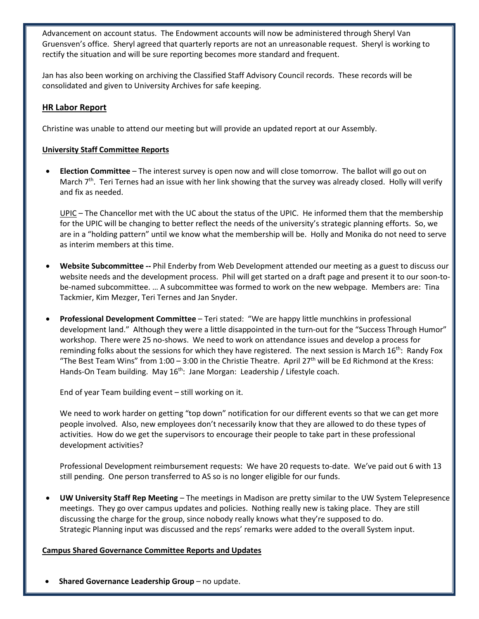Advancement on account status. The Endowment accounts will now be administered through Sheryl Van Gruensven's office. Sheryl agreed that quarterly reports are not an unreasonable request. Sheryl is working to rectify the situation and will be sure reporting becomes more standard and frequent.

Jan has also been working on archiving the Classified Staff Advisory Council records. These records will be consolidated and given to University Archives for safe keeping.

## **HR Labor Report**

Christine was unable to attend our meeting but will provide an updated report at our Assembly.

## **University Staff Committee Reports**

• **Election Committee** – The interest survey is open now and will close tomorrow. The ballot will go out on March  $7<sup>th</sup>$ . Teri Ternes had an issue with her link showing that the survey was already closed. Holly will verify and fix as needed.

UPIC – The Chancellor met with the UC about the status of the UPIC. He informed them that the membership for the UPIC will be changing to better reflect the needs of the university's strategic planning efforts. So, we are in a "holding pattern" until we know what the membership will be. Holly and Monika do not need to serve as interim members at this time.

- **Website Subcommittee --** Phil Enderby from Web Development attended our meeting as a guest to discuss our website needs and the development process. Phil will get started on a draft page and present it to our soon-tobe-named subcommittee. … A subcommittee was formed to work on the new webpage. Members are: Tina Tackmier, Kim Mezger, Teri Ternes and Jan Snyder.
- **Professional Development Committee** Teri stated: "We are happy little munchkins in professional development land." Although they were a little disappointed in the turn-out for the "Success Through Humor" workshop. There were 25 no-shows. We need to work on attendance issues and develop a process for reminding folks about the sessions for which they have registered. The next session is March  $16^{th}$ : Randy Fox "The Best Team Wins" from  $1:00 - 3:00$  in the Christie Theatre. April 27<sup>th</sup> will be Ed Richmond at the Kress: Hands-On Team building. May 16<sup>th</sup>: Jane Morgan: Leadership / Lifestyle coach.

End of year Team building event – still working on it.

We need to work harder on getting "top down" notification for our different events so that we can get more people involved. Also, new employees don't necessarily know that they are allowed to do these types of activities. How do we get the supervisors to encourage their people to take part in these professional development activities?

Professional Development reimbursement requests: We have 20 requests to-date. We've paid out 6 with 13 still pending. One person transferred to AS so is no longer eligible for our funds.

• **UW University Staff Rep Meeting** – The meetings in Madison are pretty similar to the UW System Telepresence meetings. They go over campus updates and policies. Nothing really new is taking place. They are still discussing the charge for the group, since nobody really knows what they're supposed to do. Strategic Planning input was discussed and the reps' remarks were added to the overall System input.

## **Campus Shared Governance Committee Reports and Updates**

• **Shared Governance Leadership Group** – no update.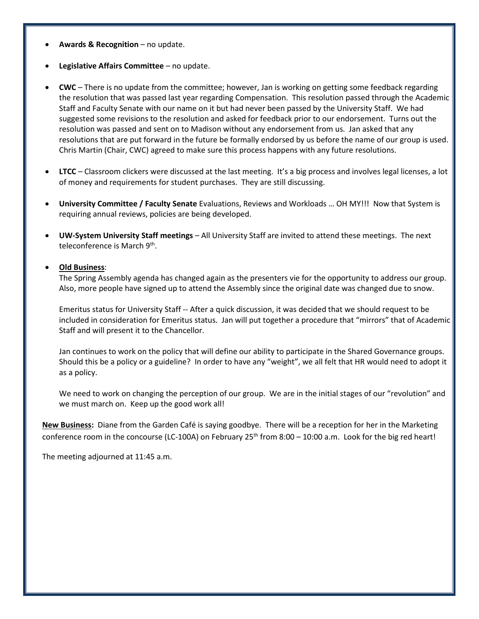- **Awards & Recognition**  no update.
- **Legislative Affairs Committee** no update.
- **CWC**  There is no update from the committee; however, Jan is working on getting some feedback regarding the resolution that was passed last year regarding Compensation. This resolution passed through the Academic Staff and Faculty Senate with our name on it but had never been passed by the University Staff. We had suggested some revisions to the resolution and asked for feedback prior to our endorsement. Turns out the resolution was passed and sent on to Madison without any endorsement from us. Jan asked that any resolutions that are put forward in the future be formally endorsed by us before the name of our group is used. Chris Martin (Chair, CWC) agreed to make sure this process happens with any future resolutions.
- **LTCC** Classroom clickers were discussed at the last meeting. It's a big process and involves legal licenses, a lot of money and requirements for student purchases. They are still discussing.
- **University Committee / Faculty Senate** Evaluations, Reviews and Workloads … OH MY!!! Now that System is requiring annual reviews, policies are being developed.
- **UW-System University Staff meetings** All University Staff are invited to attend these meetings. The next teleconference is March 9<sup>th</sup>.

#### • **Old Business**:

The Spring Assembly agenda has changed again as the presenters vie for the opportunity to address our group. Also, more people have signed up to attend the Assembly since the original date was changed due to snow.

Emeritus status for University Staff -- After a quick discussion, it was decided that we should request to be included in consideration for Emeritus status. Jan will put together a procedure that "mirrors" that of Academic Staff and will present it to the Chancellor.

Jan continues to work on the policy that will define our ability to participate in the Shared Governance groups. Should this be a policy or a guideline? In order to have any "weight", we all felt that HR would need to adopt it as a policy.

We need to work on changing the perception of our group. We are in the initial stages of our "revolution" and we must march on. Keep up the good work all!

**New Business:** Diane from the Garden Café is saying goodbye. There will be a reception for her in the Marketing conference room in the concourse (LC-100A) on February  $25<sup>th</sup>$  from  $8:00 - 10:00$  a.m. Look for the big red heart!

The meeting adjourned at 11:45 a.m.